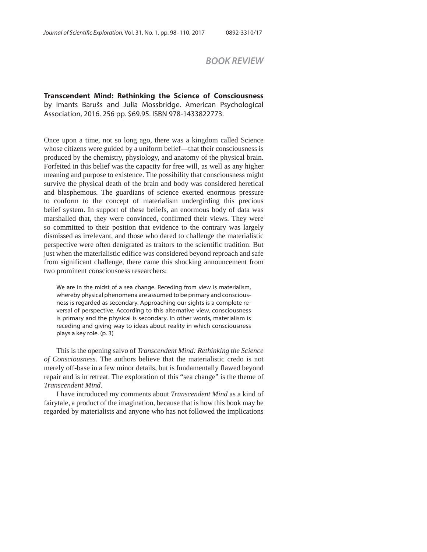## *BOOK REVIEW*

## **Transcendent Mind: Rethinking the Science of Consciousness**  by Imants Barušs and Julia Mossbridge. American Psychological Association, 2016. 256 pp. \$69.95. ISBN 978-1433822773.

Once upon a time, not so long ago, there was a kingdom called Science whose citizens were guided by a uniform belief—that their consciousness is produced by the chemistry, physiology, and anatomy of the physical brain. Forfeited in this belief was the capacity for free will, as well as any higher meaning and purpose to existence. The possibility that consciousness might survive the physical death of the brain and body was considered heretical and blasphemous. The guardians of science exerted enormous pressure to conform to the concept of materialism undergirding this precious belief system. In support of these beliefs, an enormous body of data was marshalled that, they were convinced, confirmed their views. They were so committed to their position that evidence to the contrary was largely dismissed as irrelevant, and those who dared to challenge the materialistic perspective were often denigrated as traitors to the scientific tradition. But just when the materialistic edifice was considered beyond reproach and safe from significant challenge, there came this shocking announcement from two prominent consciousness researchers:

We are in the midst of a sea change. Receding from view is materialism, whereby physical phenomena are assumed to be primary and consciousness is regarded as secondary. Approaching our sights is a complete reversal of perspective. According to this alternative view, consciousness is primary and the physical is secondary. In other words, materialism is receding and giving way to ideas about reality in which consciousness plays a key role. (p. 3)

This is the opening salvo of *Transcendent Mind: Rethinking the Science of Consciousness*. The authors believe that the materialistic credo is not merely off-base in a few minor details, but is fundamentally flawed beyond repair and is in retreat. The exploration of this "sea change" is the theme of *Transcendent Mind*.

I have introduced my comments about *Transcendent Mind* as a kind of fairytale, a product of the imagination, because that is how this book may be regarded by materialists and anyone who has not followed the implications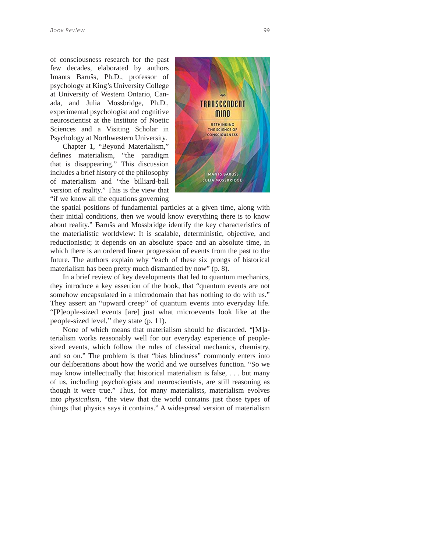of consciousness research for the past few decades, elaborated by authors Imants Barušs, Ph.D., professor of psychology at King's University College at University of Western Ontario, Canada, and Julia Mossbridge, Ph.D., experimental psychologist and cognitive neuroscientist at the Institute of Noetic Sciences and a Visiting Scholar in Psychology at Northwestern University.

Chapter 1, "Beyond Materialism," defines materialism, "the paradigm that is disappearing." This discussion includes a brief history of the philosophy of materialism and "the billiard-ball version of reality." This is the view that "if we know all the equations governing



the spatial positions of fundamental particles at a given time, along with their initial conditions, then we would know everything there is to know about reality." Barušs and Mossbridge identify the key characteristics of the materialistic worldview: It is scalable, deterministic, objective, and reductionistic; it depends on an absolute space and an absolute time, in which there is an ordered linear progression of events from the past to the future. The authors explain why "each of these six prongs of historical materialism has been pretty much dismantled by now" (p. 8).

In a brief review of key developments that led to quantum mechanics, they introduce a key assertion of the book, that "quantum events are not somehow encapsulated in a microdomain that has nothing to do with us." They assert an "upward creep" of quantum events into everyday life. "[P]eople-sized events [are] just what microevents look like at the people-sized level," they state (p. 11).

None of which means that materialism should be discarded. "[M]aterialism works reasonably well for our everyday experience of peoplesized events, which follow the rules of classical mechanics, chemistry, and so on." The problem is that "bias blindness" commonly enters into our deliberations about how the world and we ourselves function. "So we may know intellectually that historical materialism is false, . . . but many of us, including psychologists and neuroscientists, are still reasoning as though it were true." Thus, for many materialists, materialism evolves into *physicalism*, "the view that the world contains just those types of things that physics says it contains." A widespread version of materialism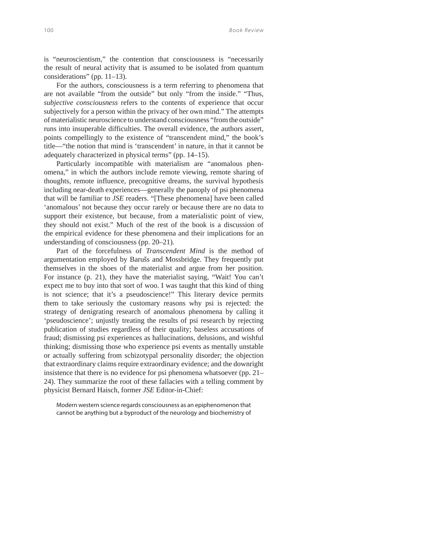is "neuroscientism," the contention that consciousness is "necessarily the result of neural activity that is assumed to be isolated from quantum considerations" (pp. 11–13).

For the authors, consciousness is a term referring to phenomena that are not available "from the outside" but only "from the inside." "Thus, *subjective consciousness* refers to the contents of experience that occur subjectively for a person within the privacy of her own mind." The attempts of materialistic neuroscience to understand consciousness "from the outside" runs into insuperable difficulties. The overall evidence, the authors assert, points compellingly to the existence of "transcendent mind," the book's title—"the notion that mind is 'transcendent' in nature, in that it cannot be adequately characterized in physical terms" (pp. 14–15).

Particularly incompatible with materialism are "anomalous phenomena," in which the authors include remote viewing, remote sharing of thoughts, remote influence, precognitive dreams, the survival hypothesis including near-death experiences—generally the panoply of psi phenomena that will be familiar to *JSE* readers. "[These phenomena] have been called 'anomalous' not because they occur rarely or because there are no data to support their existence, but because, from a materialistic point of view, they should not exist." Much of the rest of the book is a discussion of the empirical evidence for these phenomena and their implications for an understanding of consciousness (pp. 20–21).

Part of the forcefulness of *Transcendent Mind* is the method of argumentation employed by Barušs and Mossbridge. They frequently put themselves in the shoes of the materialist and argue from her position. For instance (p. 21), they have the materialist saying, "Wait! You can't expect me to buy into that sort of woo. I was taught that this kind of thing is not science; that it's a pseudoscience!" This literary device permits them to take seriously the customary reasons why psi is rejected: the strategy of denigrating research of anomalous phenomena by calling it 'pseudoscience'; unjustly treating the results of psi research by rejecting publication of studies regardless of their quality; baseless accusations of fraud; dismissing psi experiences as hallucinations, delusions, and wishful thinking; dismissing those who experience psi events as mentally unstable or actually suffering from schizotypal personality disorder; the objection that extraordinary claims require extraordinary evidence; and the downright insistence that there is no evidence for psi phenomena whatsoever (pp. 21– 24). They summarize the root of these fallacies with a telling comment by physicist Bernard Haisch, former *JSE* Editor-in-Chief:

Modern western science regards consciousness as an epiphenomenon that cannot be anything but a byproduct of the neurology and biochemistry of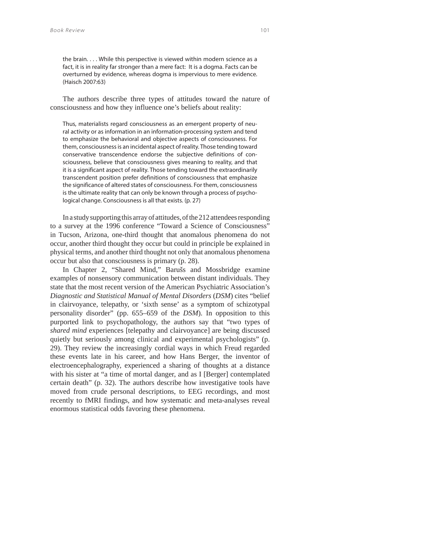the brain. . . . While this perspective is viewed within modern science as a fact, it is in reality far stronger than a mere fact: It is a dogma. Facts can be overturned by evidence, whereas dogma is impervious to mere evidence. (Haisch 2007:63)

The authors describe three types of attitudes toward the nature of consciousness and how they influence one's beliefs about reality:

Thus, materialists regard consciousness as an emergent property of neural activity or as information in an information-processing system and tend to emphasize the behavioral and objective aspects of consciousness. For them, consciousness is an incidental aspect of reality. Those tending toward conservative transcendence endorse the subjective definitions of consciousness, believe that consciousness gives meaning to reality, and that it is a significant aspect of reality. Those tending toward the extraordinarily transcendent position prefer definitions of consciousness that emphasize the significance of altered states of consciousness. For them, consciousness is the ultimate reality that can only be known through a process of psychological change. Consciousness is all that exists. (p. 27)

In a study supporting this array of attitudes, of the 212 attendees responding to a survey at the 1996 conference "Toward a Science of Consciousness" in Tucson, Arizona, one-third thought that anomalous phenomena do not occur, another third thought they occur but could in principle be explained in physical terms, and another third thought not only that anomalous phenomena occur but also that consciousness is primary (p. 28).

In Chapter 2, "Shared Mind," Barušs and Mossbridge examine examples of nonsensory communication between distant individuals. They state that the most recent version of the American Psychiatric Association's *Diagnostic and Statistical Manual of Mental Disorders* (*DSM*) cites "belief in clairvoyance, telepathy, or 'sixth sense' as a symptom of schizotypal personality disorder" (pp. 655–659 of the *DSM*). In opposition to this purported link to psychopathology, the authors say that "two types of *shared mind* experiences [telepathy and clairvoyance] are being discussed quietly but seriously among clinical and experimental psychologists" (p. 29). They review the increasingly cordial ways in which Freud regarded these events late in his career, and how Hans Berger, the inventor of electroencephalography, experienced a sharing of thoughts at a distance with his sister at "a time of mortal danger, and as I [Berger] contemplated certain death" (p. 32). The authors describe how investigative tools have moved from crude personal descriptions, to EEG recordings, and most recently to fMRI findings, and how systematic and meta-analyses reveal enormous statistical odds favoring these phenomena.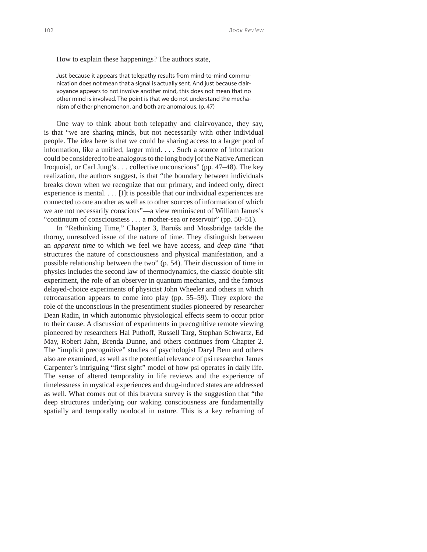How to explain these happenings? The authors state,

Just because it appears that telepathy results from mind-to-mind communication does not mean that a signal is actually sent. And just because clairvoyance appears to not involve another mind, this does not mean that no other mind is involved. The point is that we do not understand the mechanism of either phenomenon, and both are anomalous. (p. 47)

One way to think about both telepathy and clairvoyance, they say, is that "we are sharing minds, but not necessarily with other individual people. The idea here is that we could be sharing access to a larger pool of information, like a unified, larger mind. . . . Such a source of information could be considered to be analogous to the long body [of the Native American Iroquois], or Carl Jung's . . . collective unconscious" (pp. 47–48). The key realization, the authors suggest, is that "the boundary between individuals breaks down when we recognize that our primary, and indeed only, direct experience is mental. . . . [I]t is possible that our individual experiences are connected to one another as well as to other sources of information of which we are not necessarily conscious"—a view reminiscent of William James's "continuum of consciousness . . . a mother-sea or reservoir" (pp. 50–51).

In "Rethinking Time," Chapter 3, Barušs and Mossbridge tackle the thorny, unresolved issue of the nature of time. They distinguish between an *apparent time* to which we feel we have access, and *deep time* "that structures the nature of consciousness and physical manifestation, and a possible relationship between the two" (p. 54). Their discussion of time in physics includes the second law of thermodynamics, the classic double-slit experiment, the role of an observer in quantum mechanics, and the famous delayed-choice experiments of physicist John Wheeler and others in which retrocausation appears to come into play (pp. 55–59). They explore the role of the unconscious in the presentiment studies pioneered by researcher Dean Radin, in which autonomic physiological effects seem to occur prior to their cause. A discussion of experiments in precognitive remote viewing pioneered by researchers Hal Puthoff, Russell Targ, Stephan Schwartz, Ed May, Robert Jahn, Brenda Dunne, and others continues from Chapter 2. The "implicit precognitive" studies of psychologist Daryl Bem and others also are examined, as well as the potential relevance of psi researcher James Carpenter's intriguing "first sight" model of how psi operates in daily life. The sense of altered temporality in life reviews and the experience of timelessness in mystical experiences and drug-induced states are addressed as well. What comes out of this bravura survey is the suggestion that "the deep structures underlying our waking consciousness are fundamentally spatially and temporally nonlocal in nature. This is a key reframing of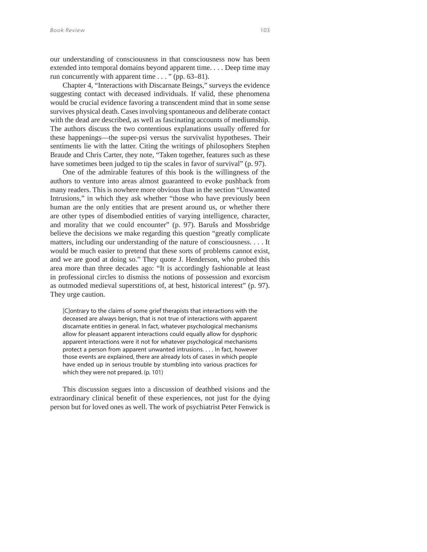our understanding of consciousness in that consciousness now has been extended into temporal domains beyond apparent time. . . . Deep time may run concurrently with apparent time . . . " (pp. 63–81).

Chapter 4, "Interactions with Discarnate Beings," surveys the evidence suggesting contact with deceased individuals. If valid, these phenomena would be crucial evidence favoring a transcendent mind that in some sense survives physical death. Cases involving spontaneous and deliberate contact with the dead are described, as well as fascinating accounts of mediumship. The authors discuss the two contentious explanations usually offered for these happenings—the super-psi versus the survivalist hypotheses. Their sentiments lie with the latter. Citing the writings of philosophers Stephen Braude and Chris Carter, they note, "Taken together, features such as these have sometimes been judged to tip the scales in favor of survival" (p. 97).

One of the admirable features of this book is the willingness of the authors to venture into areas almost guaranteed to evoke pushback from many readers. This is nowhere more obvious than in the section "Unwanted Intrusions," in which they ask whether "those who have previously been human are the only entities that are present around us, or whether there are other types of disembodied entities of varying intelligence, character, and morality that we could encounter" (p. 97). Barušs and Mossbridge believe the decisions we make regarding this question "greatly complicate matters, including our understanding of the nature of consciousness. . . . It would be much easier to pretend that these sorts of problems cannot exist, and we are good at doing so." They quote J. Henderson, who probed this area more than three decades ago: "It is accordingly fashionable at least in professional circles to dismiss the notions of possession and exorcism as outmoded medieval superstitions of, at best, historical interest" (p. 97). They urge caution.

[C]ontrary to the claims of some grief therapists that interactions with the deceased are always benign, that is not true of interactions with apparent discarnate entities in general. In fact, whatever psychological mechanisms allow for pleasant apparent interactions could equally allow for dysphoric apparent interactions were it not for whatever psychological mechanisms protect a person from apparent unwanted intrusions. . . . In fact, however those events are explained, there are already lots of cases in which people have ended up in serious trouble by stumbling into various practices for which they were not prepared. (p. 101)

This discussion segues into a discussion of deathbed visions and the extraordinary clinical benefit of these experiences, not just for the dying person but for loved ones as well. The work of psychiatrist Peter Fenwick is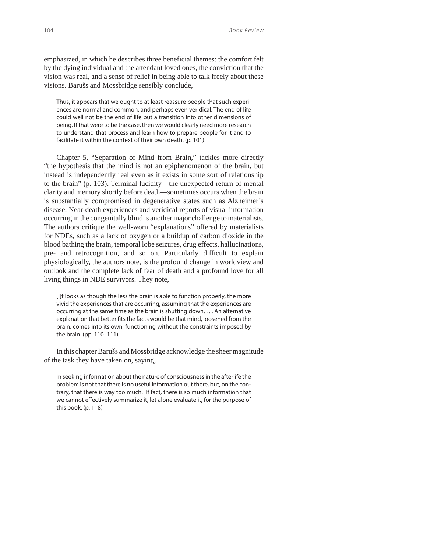emphasized, in which he describes three beneficial themes: the comfort felt by the dying individual and the attendant loved ones, the conviction that the vision was real, and a sense of relief in being able to talk freely about these visions. Barušs and Mossbridge sensibly conclude,

Thus, it appears that we ought to at least reassure people that such experiences are normal and common, and perhaps even veridical. The end of life could well not be the end of life but a transition into other dimensions of being. If that were to be the case, then we would clearly need more research to understand that process and learn how to prepare people for it and to facilitate it within the context of their own death. (p. 101)

Chapter 5, "Separation of Mind from Brain," tackles more directly "the hypothesis that the mind is not an epiphenomenon of the brain, but instead is independently real even as it exists in some sort of relationship to the brain" (p. 103). Terminal lucidity—the unexpected return of mental clarity and memory shortly before death—sometimes occurs when the brain is substantially compromised in degenerative states such as Alzheimer's disease. Near-death experiences and veridical reports of visual information occurring in the congenitally blind is another major challenge to materialists. The authors critique the well-worn "explanations" offered by materialists for NDEs, such as a lack of oxygen or a buildup of carbon dioxide in the blood bathing the brain, temporal lobe seizures, drug effects, hallucinations, pre- and retrocognition, and so on. Particularly difficult to explain physiologically, the authors note, is the profound change in worldview and outlook and the complete lack of fear of death and a profound love for all living things in NDE survivors. They note,

[I]t looks as though the less the brain is able to function properly, the more vivid the experiences that are occurring, assuming that the experiences are occurring at the same time as the brain is shutting down. . . . An alternative explanation that better fits the facts would be that mind, loosened from the brain, comes into its own, functioning without the constraints imposed by the brain. (pp. 110–111)

In this chapter Barušs and Mossbridge acknowledge the sheer magnitude of the task they have taken on, saying,

In seeking information about the nature of consciousness in the afterlife the problem is not that there is no useful information out there, but, on the contrary, that there is way too much. If fact, there is so much information that we cannot effectively summarize it, let alone evaluate it, for the purpose of this book. (p. 118)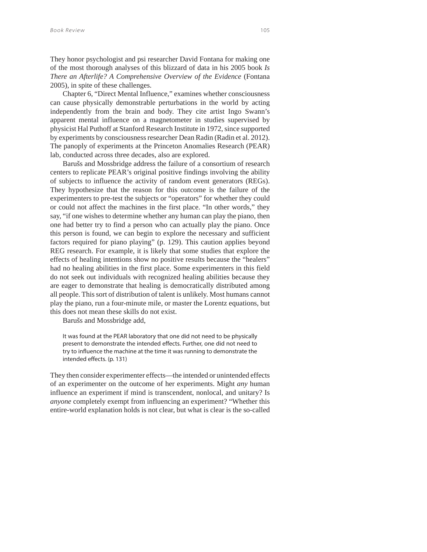They honor psychologist and psi researcher David Fontana for making one of the most thorough analyses of this blizzard of data in his 2005 book *Is There an Afterlife? A Comprehensive Overview of the Evidence* (Fontana 2005), in spite of these challenges.

Chapter 6, "Direct Mental Influence," examines whether consciousness can cause physically demonstrable perturbations in the world by acting independently from the brain and body. They cite artist Ingo Swann's apparent mental influence on a magnetometer in studies supervised by physicist Hal Puthoff at Stanford Research Institute in 1972, since supported by experiments by consciousness researcher Dean Radin (Radin et al. 2012). The panoply of experiments at the Princeton Anomalies Research (PEAR) lab, conducted across three decades, also are explored.

Barušs and Mossbridge address the failure of a consortium of research centers to replicate PEAR's original positive findings involving the ability of subjects to influence the activity of random event generators (REGs). They hypothesize that the reason for this outcome is the failure of the experimenters to pre-test the subjects or "operators" for whether they could or could not affect the machines in the first place. "In other words," they say, "if one wishes to determine whether any human can play the piano, then one had better try to find a person who can actually play the piano. Once this person is found, we can begin to explore the necessary and sufficient factors required for piano playing" (p. 129). This caution applies beyond REG research. For example, it is likely that some studies that explore the effects of healing intentions show no positive results because the "healers" had no healing abilities in the first place. Some experimenters in this field do not seek out individuals with recognized healing abilities because they are eager to demonstrate that healing is democratically distributed among all people. This sort of distribution of talent is unlikely. Most humans cannot play the piano, run a four-minute mile, or master the Lorentz equations, but this does not mean these skills do not exist.

Barušs and Mossbridge add,

It was found at the PEAR laboratory that one did not need to be physically present to demonstrate the intended effects. Further, one did not need to try to influence the machine at the time it was running to demonstrate the intended effects. (p. 131)

They then consider experimenter effects—the intended or unintended effects of an experimenter on the outcome of her experiments. Might *any* human influence an experiment if mind is transcendent, nonlocal, and unitary? Is *anyone* completely exempt from influencing an experiment? "Whether this entire-world explanation holds is not clear, but what is clear is the so-called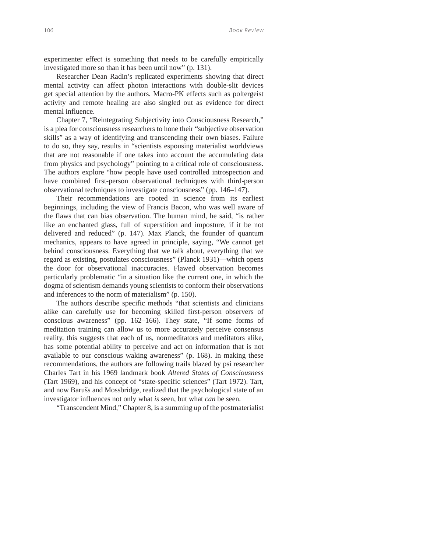experimenter effect is something that needs to be carefully empirically investigated more so than it has been until now" (p. 131).

Researcher Dean Radin's replicated experiments showing that direct mental activity can affect photon interactions with double-slit devices get special attention by the authors. Macro-PK effects such as poltergeist activity and remote healing are also singled out as evidence for direct mental influence.

Chapter 7, "Reintegrating Subjectivity into Consciousness Research," is a plea for consciousness researchers to hone their "subjective observation skills" as a way of identifying and transcending their own biases. Failure to do so, they say, results in "scientists espousing materialist worldviews that are not reasonable if one takes into account the accumulating data from physics and psychology" pointing to a critical role of consciousness. The authors explore "how people have used controlled introspection and have combined first-person observational techniques with third-person observational techniques to investigate consciousness" (pp. 146–147).

Their recommendations are rooted in science from its earliest beginnings, including the view of Francis Bacon, who was well aware of the flaws that can bias observation. The human mind, he said, "is rather like an enchanted glass, full of superstition and imposture, if it be not delivered and reduced" (p. 147). Max Planck, the founder of quantum mechanics, appears to have agreed in principle, saying, "We cannot get behind consciousness. Everything that we talk about, everything that we regard as existing, postulates consciousness" (Planck 1931)—which opens the door for observational inaccuracies. Flawed observation becomes particularly problematic "in a situation like the current one, in which the dogma of scientism demands young scientists to conform their observations and inferences to the norm of materialism" (p. 150).

The authors describe specific methods "that scientists and clinicians alike can carefully use for becoming skilled first-person observers of conscious awareness" (pp. 162–166). They state, "If some forms of meditation training can allow us to more accurately perceive consensus reality, this suggests that each of us, nonmeditators and meditators alike, has some potential ability to perceive and act on information that is not available to our conscious waking awareness" (p. 168). In making these recommendations, the authors are following trails blazed by psi researcher Charles Tart in his 1969 landmark book *Altered States of Consciousness* (Tart 1969), and his concept of "state-specific sciences" (Tart 1972). Tart, and now Barušs and Mossbridge, realized that the psychological state of an investigator influences not only what *is* seen, but what *can* be seen.

"Transcendent Mind," Chapter 8, is a summing up of the postmaterialist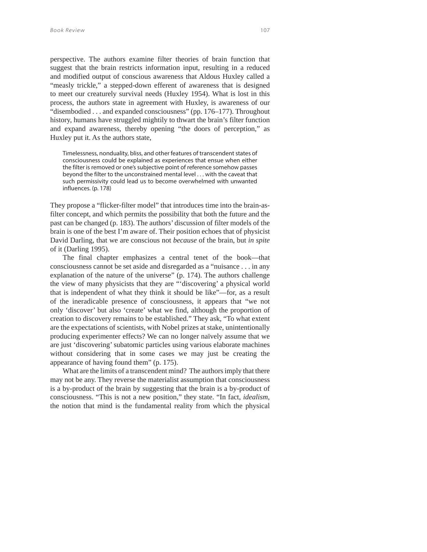perspective. The authors examine filter theories of brain function that suggest that the brain restricts information input, resulting in a reduced and modified output of conscious awareness that Aldous Huxley called a "measly trickle," a stepped-down efferent of awareness that is designed to meet our creaturely survival needs (Huxley 1954). What is lost in this process, the authors state in agreement with Huxley, is awareness of our "disembodied . . . and expanded consciousness" (pp. 176–177). Throughout history, humans have struggled mightily to thwart the brain's filter function and expand awareness, thereby opening "the doors of perception," as Huxley put it. As the authors state,

Timelessness, nonduality, bliss, and other features of transcendent states of consciousness could be explained as experiences that ensue when either the filter is removed or one's subjective point of reference somehow passes beyond the filter to the unconstrained mental level . . . with the caveat that such permissivity could lead us to become overwhelmed with unwanted influences. (p. 178)

They propose a "flicker-filter model" that introduces time into the brain-asfilter concept, and which permits the possibility that both the future and the past can be changed (p. 183). The authors' discussion of filter models of the brain is one of the best I'm aware of. Their position echoes that of physicist David Darling, that we are conscious not *because* of the brain, but *in spite* of it (Darling 1995).

The final chapter emphasizes a central tenet of the book—that consciousness cannot be set aside and disregarded as a "nuisance . . . in any explanation of the nature of the universe" (p. 174). The authors challenge the view of many physicists that they are "'discovering' a physical world that is independent of what they think it should be like"—for, as a result of the ineradicable presence of consciousness, it appears that "we not only 'discover' but also 'create' what we find, although the proportion of creation to discovery remains to be established." They ask, "To what extent are the expectations of scientists, with Nobel prizes at stake, unintentionally producing experimenter effects? We can no longer naïvely assume that we are just 'discovering' subatomic particles using various elaborate machines without considering that in some cases we may just be creating the appearance of having found them" (p. 175).

What are the limits of a transcendent mind? The authors imply that there may not be any. They reverse the materialist assumption that consciousness is a by-product of the brain by suggesting that the brain is a by-product of consciousness. "This is not a new position," they state. "In fact, *idealism*, the notion that mind is the fundamental reality from which the physical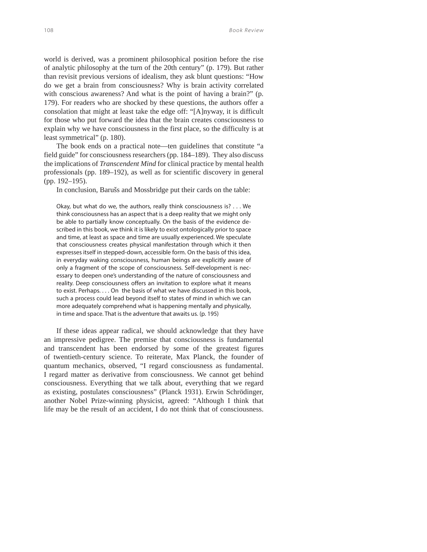world is derived, was a prominent philosophical position before the rise of analytic philosophy at the turn of the 20th century" (p. 179). But rather than revisit previous versions of idealism, they ask blunt questions: "How do we get a brain from consciousness? Why is brain activity correlated with conscious awareness? And what is the point of having a brain?" (p. 179). For readers who are shocked by these questions, the authors offer a consolation that might at least take the edge off: "[A]nyway, it is difficult for those who put forward the idea that the brain creates consciousness to explain why we have consciousness in the first place, so the difficulty is at least symmetrical" (p. 180).

The book ends on a practical note—ten guidelines that constitute "a field guide" for consciousness researchers (pp. 184–189). They also discuss the implications of *Transcendent Mind* for clinical practice by mental health professionals (pp. 189–192), as well as for scientific discovery in general (pp. 192–195).

In conclusion, Barušs and Mossbridge put their cards on the table:

Okay, but what do we, the authors, really think consciousness is? . . . We think consciousness has an aspect that is a deep reality that we might only be able to partially know conceptually. On the basis of the evidence described in this book, we think it is likely to exist ontologically prior to space and time, at least as space and time are usually experienced. We speculate that consciousness creates physical manifestation through which it then expresses itself in stepped-down, accessible form. On the basis of this idea, in everyday waking consciousness, human beings are explicitly aware of only a fragment of the scope of consciousness. Self-development is necessary to deepen one's understanding of the nature of consciousness and reality. Deep consciousness offers an invitation to explore what it means to exist. Perhaps. . . . On the basis of what we have discussed in this book, such a process could lead beyond itself to states of mind in which we can more adequately comprehend what is happening mentally and physically, in time and space. That is the adventure that awaits us. (p. 195)

If these ideas appear radical, we should acknowledge that they have an impressive pedigree. The premise that consciousness is fundamental and transcendent has been endorsed by some of the greatest figures of twentieth-century science. To reiterate, Max Planck, the founder of quantum mechanics, observed, "I regard consciousness as fundamental. I regard matter as derivative from consciousness. We cannot get behind consciousness. Everything that we talk about, everything that we regard as existing, postulates consciousness" (Planck 1931). Erwin Schrödinger, another Nobel Prize-winning physicist, agreed: "Although I think that life may be the result of an accident, I do not think that of consciousness.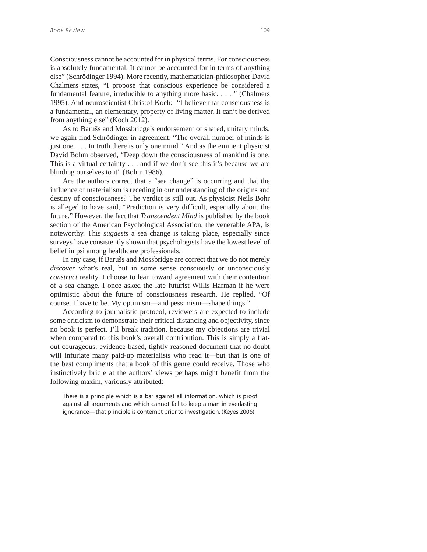Consciousness cannot be accounted for in physical terms. For consciousness is absolutely fundamental. It cannot be accounted for in terms of anything else" (Schrödinger 1994). More recently, mathematician-philosopher David Chalmers states, "I propose that conscious experience be considered a fundamental feature, irreducible to anything more basic. . . . " (Chalmers 1995). And neuroscientist Christof Koch: "I believe that consciousness is a fundamental, an elementary, property of living matter. It can't be derived from anything else" (Koch 2012).

As to Barušs and Mossbridge's endorsement of shared, unitary minds, we again find Schrödinger in agreement: "The overall number of minds is just one. . . . In truth there is only one mind." And as the eminent physicist David Bohm observed, "Deep down the consciousness of mankind is one. This is a virtual certainty . . . and if we don't see this it's because we are blinding ourselves to it" (Bohm 1986).

Are the authors correct that a "sea change" is occurring and that the influence of materialism is receding in our understanding of the origins and destiny of consciousness? The verdict is still out. As physicist Neils Bohr is alleged to have said, "Prediction is very difficult, especially about the future." However, the fact that *Transcendent Mind* is published by the book section of the American Psychological Association, the venerable APA, is noteworthy. This *suggests* a sea change is taking place, especially since surveys have consistently shown that psychologists have the lowest level of belief in psi among healthcare professionals.

In any case, if Barušs and Mossbridge are correct that we do not merely *discover* what's real, but in some sense consciously or unconsciously *construct* reality, I choose to lean toward agreement with their contention of a sea change. I once asked the late futurist Willis Harman if he were optimistic about the future of consciousness research. He replied, "Of course. I have to be. My optimism—and pessimism—shape things."

According to journalistic protocol, reviewers are expected to include some criticism to demonstrate their critical distancing and objectivity, since no book is perfect. I'll break tradition, because my objections are trivial when compared to this book's overall contribution. This is simply a flatout courageous, evidence-based, tightly reasoned document that no doubt will infuriate many paid-up materialists who read it—but that is one of the best compliments that a book of this genre could receive. Those who instinctively bridle at the authors' views perhaps might benefit from the following maxim, variously attributed:

There is a principle which is a bar against all information, which is proof against all arguments and which cannot fail to keep a man in everlasting ignorance—that principle is contempt prior to investigation. (Keyes 2006)